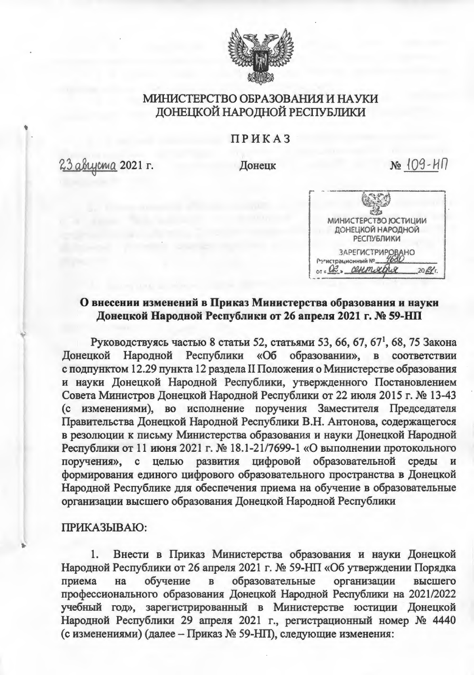

# МИНИСТЕРСТВО ОБРАЗОВАНИЯ И НАУКИ ДОНЕЦКОЙ НАРОДНОЙ РЕСПУБЛИКИ

#### ПРИКАЗ

<u> 23 августа</u> 2021 г.

Донецк

 $N<sub>2</sub>$  109-HN



### О внесении изменений в Приказ Министерства образования и науки Донецкой Народной Республики от 26 апреля 2021 г. № 59-НП

Руководствуясь частью 8 статьи 52, статьями 53, 66, 67, 67<sup>1</sup>, 68, 75 Закона Народной Республики «Об образовании», в соответствии **Донецкой** с подпунктом 12.29 пункта 12 раздела II Положения о Министерстве образования и науки Донецкой Народной Республики, утвержденного Постановлением Совета Министров Донецкой Народной Республики от 22 июля 2015 г. № 13-43 (с изменениями), во исполнение поручения Заместителя Председателя Правительства Донецкой Народной Республики В.Н. Антонова, содержащегося в резолюции к письму Министерства образования и науки Донецкой Народной Республики от 11 июня 2021 г. № 18.1-21/7699-1 «О выполнении протокольного поручения»,  $\mathbf{c}$ целью развития цифровой образовательной среды формирования единого цифрового образовательного пространства в Донецкой Народной Республике для обеспечения приема на обучение в образовательные организации высшего образования Донецкой Народной Республики

#### ПРИКАЗЫВАЮ:

Внести в Приказ Министерства образования и науки Донецкой Народной Республики от 26 апреля 2021 г. № 59-НП «Об утверждении Порядка приема на обучение  $\mathbf{B}$ образовательные организации высшего профессионального образования Донецкой Народной Республики на 2021/2022 учебный год», зарегистрированный в Министерстве юстиции Донецкой Народной Республики 29 апреля 2021 г., регистрационный номер № 4440 (с изменениями) (далее - Приказ № 59-НП), следующие изменения: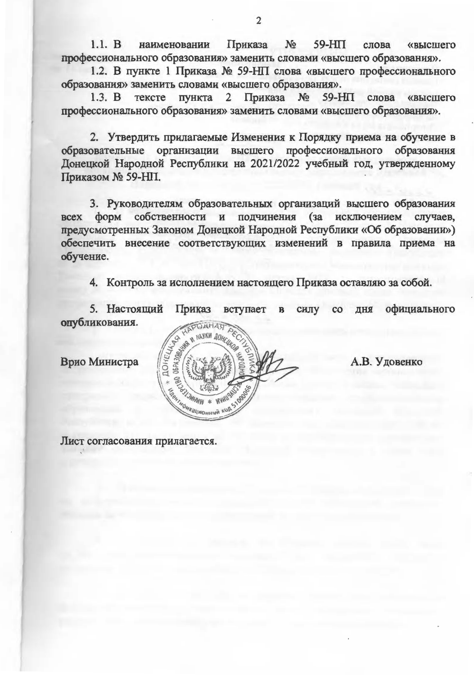Приказа №  $1.1. B$ 59-HIT наименовании слова **«высшего** профессионального образования» заменить словами «высшего образования».

1.2. В пункте 1 Приказа № 59-НП слова «высшего профессионального образования» заменить словами «высшего образования».

тексте пункта 2 Приказа  $N_2$  $59-HII$  $1.3. B$ слова «высшего профессионального образования» заменить словами «высшего образования».

2. Утвердить прилагаемые Изменения к Порядку приема на обучение в образовательные организации высшего профессионального образования Донецкой Народной Республики на 2021/2022 учебный год, утвержденному Приказом № 59-НП.

3. Руководителям образовательных организаций высшего образования собственности и подчинения (за исключением случаев, форм **BCCX** предусмотренных Законом Донецкой Народной Республики «Об образовании») обеспечить внесение соответствующих изменений в правила приема на обучение.

4. Контроль за исполнением настоящего Приказа оставляю за собой.

силу со дня официального 5. Настоящий Приказ вступает  $\, {\bf B}$ опубликования.

Врио Министра

Лист согласования прилагается.



А.В. Удовенко

 $\overline{2}$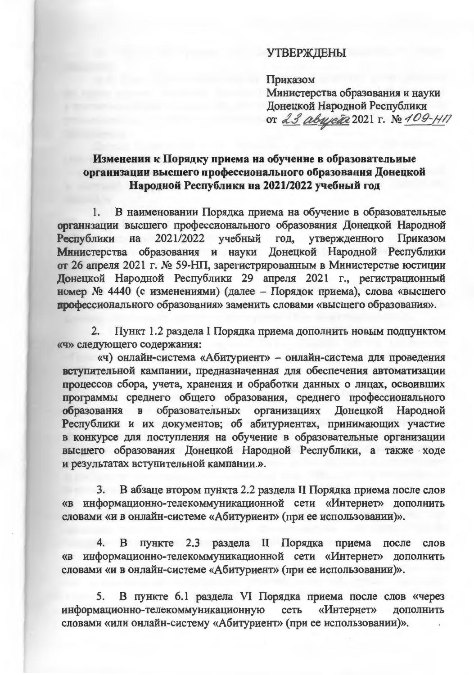#### **УТВЕРЖДЕНЫ**

Приказом

Министерства образования и науки Донецкой Народной Республики от 23 авирет 2021 г. № 109-117

## Изменения к Порядку приема на обучение в образовательные организации высшего профессионального образования Донецкой Народной Республики на 2021/2022 учебный год

1. В наименовании Порядка приема на обучение в образовательные организации высшего профессионального образования Донецкой Народной 2021/2022 учебный год, утвержденного Приказом Республики на Министерства образования и науки Донецкой Народной Республики от 26 апреля 2021 г. № 59-НП, зарегистрированным в Министерстве юстиции Донецкой Народной Республики 29 апреля 2021 г., регистрационный номер № 4440 (с изменениями) (далее - Порядок приема), слова «высшего профессионального образования» заменить словами «высшего образования».

 $2.$ Пункт 1.2 раздела I Порядка приема дополнить новым подпунктом «ч» следующего содержания:

«ч) онлайн-система «Абитуриент» - онлайн-система для проведения вступительной кампании, предназначенная для обеспечения автоматизации процессов сбора, учета, хранения и обработки данных о лицах, освоивших программы среднего общего образования, среднего профессионального образования в образовательных организациях Донецкой Народной Республики и их документов; об абитуриентах, принимающих участие в конкурсе для поступления на обучение в образовательные организации высшего образования Донецкой Народной Республики, а также ходе и результатах вступительной кампании.».

3. В абзаце втором пункта 2.2 раздела II Порядка приема после слов «в информационно-телекоммуникационной сети «Интернет» дополнить словами «и в онлайн-системе «Абитуриент» (при ее использовании)».

4. В пункте 2.3 раздела II Порядка приема после слов «в информационно-телекоммуникационной сети «Интернет» дополнить словами «и в онлайн-системе «Абитуриент» (при ее использовании)».

В пункте 6.1 раздела VI Порядка приема после слов «через 5. информационно-телекоммуникационную «Интернет» сеть дополнить словами «или онлайн-систему «Абитуриент» (при ее использовании)».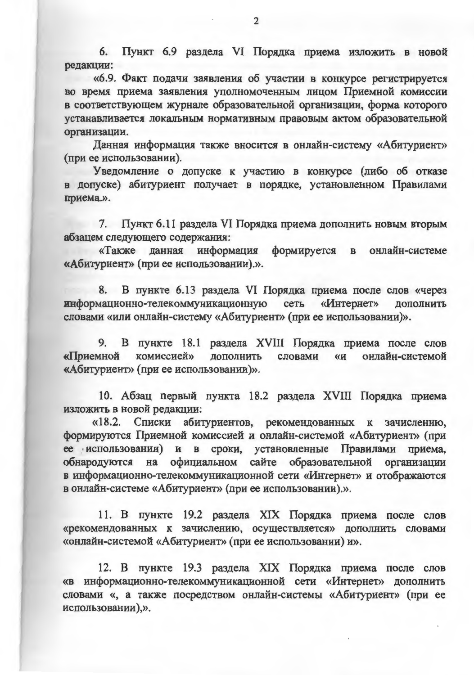6. Пункт 6.9 раздела VI Порядка приема изложить в новой редакции:

«6.9. Факт подачи заявления об участии в конкурсе регистрируется во время приема заявления уполномоченным лицом Приемной комиссии в соответствующем журнале образовательной организации, форма которого устанавливается локальным нормативным правовым актом образовательной организации.

Данная информация также вносится в онлайн-систему «Абитуриент» (при ее использовании).

Уведомление о допуске к участию в конкурсе (либо об отказе в допуске) абитуриент получает в порядке, установленном Правилами приема.».

7. Пункт 6.11 раздела VI Порядка приема дополнить новым вторым абзацем следующего содержания:

«Также данная информация формируется в онлайн-системе «Абитуриент» (при ее использовании).».

8. В пункте 6.13 раздела VI Порядка приема после слов «через информационно-телекоммуникационную сеть «Интернет» дополнить словами «или онлайн-систему «Абитуриент» (при ее использовании)».

9. В пункте 18.1 раздела XVIII Порядка приема после слов «Приемной комиссией» дополнить словами  $\langle\langle H \rangle\rangle$ онлайн-системой «Абитуриент» (при ее использовании)».

10. Абзац первый пункта 18.2 раздела XVIII Порядка приема изложить в новой редакции:

«18.2. Списки абитуриентов, рекомендованных к зачислению, формируются Приемной комиссией и онлайн-системой «Абитуриент» (при ее использовании) и в сроки, установленные Правилами приема, обнародуются на официальном сайте образовательной организации в информационно-телекоммуникационной сети «Интернет» и отображаются в онлайн-системе «Абитуриент» (при ее использовании).».

11. В пункте 19.2 раздела XIX Порядка приема после слов «рекомендованных к зачислению, осуществляется» дополнить словами «онлайн-системой «Абитуриент» (при ее использовании) и».

12. В пункте 19.3 раздела XIX Порядка приема после слов «в информационно-телекоммуникационной сети «Интернет» дополнить словами «, а также посредством онлайн-системы «Абитуриент» (при ее использовании),».